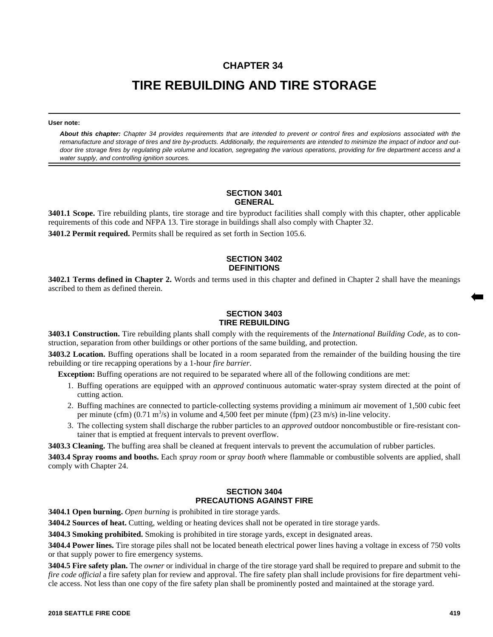# **CHAPTER 34**

# **TIRE REBUILDING AND TIRE STORAGE**

#### **User note:**

*About this chapter: Chapter 34 provides requirements that are intended to prevent or control fires and explosions associated with the remanufacture and storage of tires and tire by-products. Additionally, the requirements are intended to minimize the impact of indoor and outdoor tire storage fires by regulating pile volume and location, segregating the various operations, providing for fire department access and a water supply, and controlling ignition sources.*

#### **SECTION 3401 GENERAL**

**3401.1 Scope.** Tire rebuilding plants, tire storage and tire byproduct facilities shall comply with this chapter, other applicable requirements of this code and NFPA 13. Tire storage in buildings shall also comply with Chapter 32.

**3401.2 Permit required.** Permits shall be required as set forth in Section 105.6.

# **SECTION 3402 DEFINITIONS**

**3402.1 Terms defined in Chapter 2.** Words and terms used in this chapter and defined in Chapter 2 shall have the meanings ascribed to them as defined therein.

# **SECTION 3403 TIRE REBUILDING**

**3403.1 Construction.** Tire rebuilding plants shall comply with the requirements of the *International Building Code*, as to construction, separation from other buildings or other portions of the same building, and protection.

**3403.2 Location.** Buffing operations shall be located in a room separated from the remainder of the building housing the tire rebuilding or tire recapping operations by a 1-hour *fire barrier*.

**Exception:** Buffing operations are not required to be separated where all of the following conditions are met:

- 1. Buffing operations are equipped with an *approved* continuous automatic water-spray system directed at the point of cutting action.
- 2. Buffing machines are connected to particle-collecting systems providing a minimum air movement of 1,500 cubic feet per minute (cfm)  $(0.71 \text{ m}^3/\text{s})$  in volume and 4,500 feet per minute (fpm)  $(23 \text{ m/s})$  in-line velocity.
- 3. The collecting system shall discharge the rubber particles to an *approved* outdoor noncombustible or fire-resistant container that is emptied at frequent intervals to prevent overflow.

**3403.3 Cleaning.** The buffing area shall be cleaned at frequent intervals to prevent the accumulation of rubber particles.

**3403.4 Spray rooms and booths.** Each *spray room* or *spray booth* where flammable or combustible solvents are applied, shall comply with Chapter 24.

# **SECTION 3404 PRECAUTIONS AGAINST FIRE**

**3404.1 Open burning.** *Open burning* is prohibited in tire storage yards.

**3404.2 Sources of heat.** Cutting, welding or heating devices shall not be operated in tire storage yards.

**3404.3 Smoking prohibited.** Smoking is prohibited in tire storage yards, except in designated areas.

**3404.4 Power lines.** Tire storage piles shall not be located beneath electrical power lines having a voltage in excess of 750 volts or that supply power to fire emergency systems.

**3404.5 Fire safety plan.** The *owner* or individual in charge of the tire storage yard shall be required to prepare and submit to the *fire code official* a fire safety plan for review and approval. The fire safety plan shall include provisions for fire department vehicle access. Not less than one copy of the fire safety plan shall be prominently posted and maintained at the storage yard.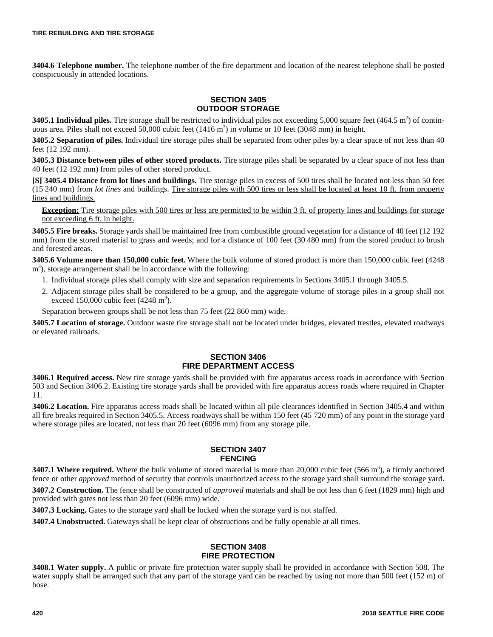**3404.6 Telephone number.** The telephone number of the fire department and location of the nearest telephone shall be posted conspicuously in attended locations.

## **SECTION 3405 OUTDOOR STORAGE**

**3405.1 Individual piles.** Tire storage shall be restricted to individual piles not exceeding  $5,000$  square feet  $(464.5 \text{ m}^2)$  of continuous area. Piles shall not exceed 50,000 cubic feet (1416 m<sup>3</sup>) in volume or 10 feet (3048 mm) in height.

**3405.2 Separation of piles.** Individual tire storage piles shall be separated from other piles by a clear space of not less than 40 feet (12 192 mm).

**3405.3 Distance between piles of other stored products.** Tire storage piles shall be separated by a clear space of not less than 40 feet (12 192 mm) from piles of other stored product.

**[S] 3405.4 Distance from lot lines and buildings.** Tire storage piles in excess of 500 tires shall be located not less than 50 feet (15 240 mm) from *lot lines* and buildings. Tire storage piles with 500 tires or less shall be located at least 10 ft. from property lines and buildings.

**Exception:** Tire storage piles with 500 tires or less are permitted to be within 3 ft. of property lines and buildings for storage not exceeding 6 ft. in height.

**3405.5 Fire breaks.** Storage yards shall be maintained free from combustible ground vegetation for a distance of 40 feet (12 192 mm) from the stored material to grass and weeds; and for a distance of 100 feet (30 480 mm) from the stored product to brush and forested areas.

**3405.6 Volume more than 150,000 cubic feet.** Where the bulk volume of stored product is more than 150,000 cubic feet (4248 m<sup>3</sup>), storage arrangement shall be in accordance with the following:

- 1. Individual storage piles shall comply with size and separation requirements in Sections 3405.1 through 3405.5.
- 2. Adjacent storage piles shall be considered to be a group, and the aggregate volume of storage piles in a group shall not exceed  $150,000$  cubic feet (4248 m<sup>3</sup>).

Separation between groups shall be not less than 75 feet (22 860 mm) wide.

**3405.7 Location of storage.** Outdoor waste tire storage shall not be located under bridges, elevated trestles, elevated roadways or elevated railroads.

#### **SECTION 3406 FIRE DEPARTMENT ACCESS**

**3406.1 Required access.** New tire storage yards shall be provided with fire apparatus access roads in accordance with Section 503 and Section 3406.2. Existing tire storage yards shall be provided with fire apparatus access roads where required in Chapter 11.

**3406.2 Location.** Fire apparatus access roads shall be located within all pile clearances identified in Section 3405.4 and within all fire breaks required in Section 3405.5. Access roadways shall be within 150 feet (45 720 mm) of any point in the storage yard where storage piles are located, not less than 20 feet (6096 mm) from any storage pile.

# **SECTION 3407 FENCING**

**3407.1 Where required.** Where the bulk volume of stored material is more than  $20,000$  cubic feet  $(566 \text{ m}^3)$ , a firmly anchored fence or other *approved* method of security that controls unauthorized access to the storage yard shall surround the storage yard.

**3407.2 Construction.** The fence shall be constructed of *approved* materials and shall be not less than 6 feet (1829 mm) high and provided with gates not less than 20 feet (6096 mm) wide.

**3407.3 Locking.** Gates to the storage yard shall be locked when the storage yard is not staffed.

**3407.4 Unobstructed.** Gateways shall be kept clear of obstructions and be fully openable at all times.

### **SECTION 3408 FIRE PROTECTION**

**3408.1 Water supply.** A public or private fire protection water supply shall be provided in accordance with Section 508. The water supply shall be arranged such that any part of the storage yard can be reached by using not more than 500 feet (152 m) of hose.